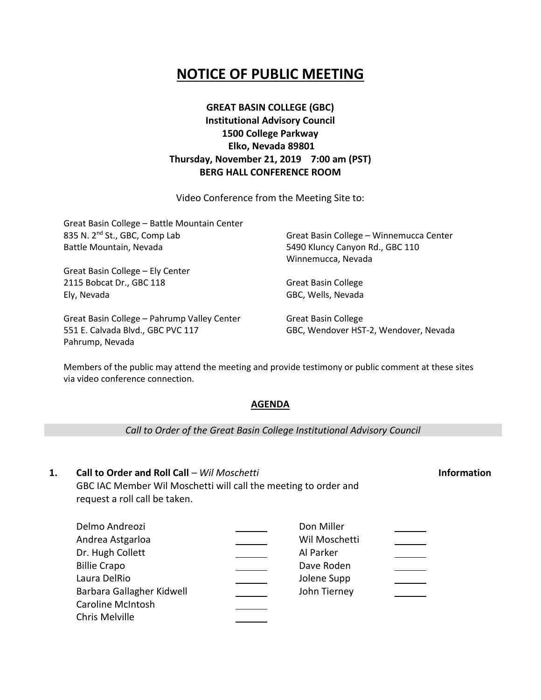# **NOTICE OF PUBLIC MEETING**

## **GREAT BASIN COLLEGE (GBC) Institutional Advisory Council 1500 College Parkway Elko, Nevada 89801 Thursday, November 21, 2019 7:00 am (PST) BERG HALL CONFERENCE ROOM**

Video Conference from the Meeting Site to:

| Great Basin College - Battle Mountain Center |                                         |
|----------------------------------------------|-----------------------------------------|
| 835 N. 2 <sup>nd</sup> St., GBC, Comp Lab    | Great Basin College - Winnemucca Center |
| Battle Mountain, Nevada                      | 5490 Kluncy Canyon Rd., GBC 110         |
|                                              | Winnemucca, Nevada                      |
| Great Basin College - Ely Center             |                                         |
| 2115 Bobcat Dr., GBC 118                     | <b>Great Basin College</b>              |
| Ely, Nevada                                  | GBC, Wells, Nevada                      |
| Great Basin College - Pahrump Valley Center  | <b>Great Basin College</b>              |
| 551 E. Calvada Blvd., GBC PVC 117            | GBC, Wendover HST-2, Wendover, Nevada   |

Members of the public may attend the meeting and provide testimony or public comment at these sites via video conference connection.

#### **AGENDA**

*Call to Order of the Great Basin College Institutional Advisory Council*

### **1. Call to Order and Roll Call** – *Wil Moschetti* **Information** GBC IAC Member Wil Moschetti will call the meeting to order and request a roll call be taken.

Pahrump, Nevada

#### Delmo Andreozi Don Miller Andrea Astgarloa Wil Moschetti Dr. Hugh Collett Al Parker Billie Crapo Dave Roden Laura DelRio Jolene Supp  $\mathcal{L}^{\text{max}}$  . Barbara Gallagher Kidwell John Tierney Caroline McIntosh Chris Melville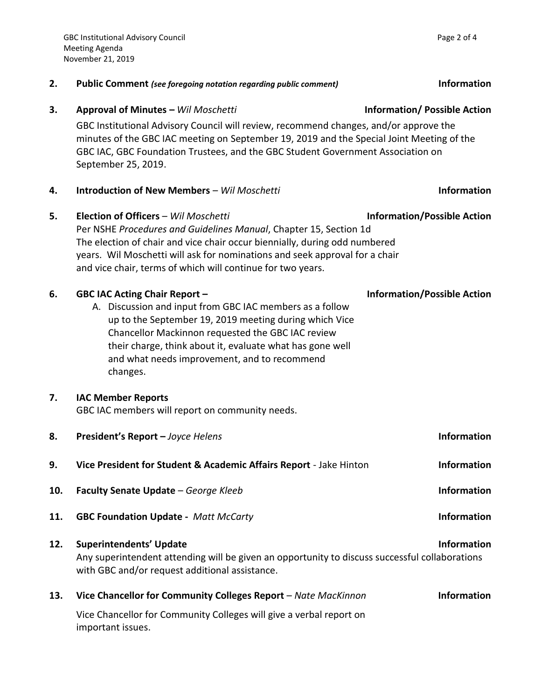|     | GBC Institutional Advisory Council will review, recommend changes, and/or approve the<br>minutes of the GBC IAC meeting on September 19, 2019 and the Special Joint Meeting of the<br>GBC IAC, GBC Foundation Trustees, and the GBC Student Government Association on<br>September 25, 2019.                                             |                                    |
|-----|------------------------------------------------------------------------------------------------------------------------------------------------------------------------------------------------------------------------------------------------------------------------------------------------------------------------------------------|------------------------------------|
| 4.  | <b>Introduction of New Members - Wil Moschetti</b>                                                                                                                                                                                                                                                                                       | <b>Information</b>                 |
| 5.  | Election of Officers - Wil Moschetti<br>Per NSHE Procedures and Guidelines Manual, Chapter 15, Section 1d<br>The election of chair and vice chair occur biennially, during odd numbered<br>years. Wil Moschetti will ask for nominations and seek approval for a chair<br>and vice chair, terms of which will continue for two years.    | <b>Information/Possible Action</b> |
| 6.  | <b>GBC IAC Acting Chair Report -</b><br>A. Discussion and input from GBC IAC members as a follow<br>up to the September 19, 2019 meeting during which Vice<br>Chancellor Mackinnon requested the GBC IAC review<br>their charge, think about it, evaluate what has gone well<br>and what needs improvement, and to recommend<br>changes. | <b>Information/Possible Action</b> |
| 7.  | <b>IAC Member Reports</b><br>GBC IAC members will report on community needs.                                                                                                                                                                                                                                                             |                                    |
| 8.  | President's Report - Joyce Helens                                                                                                                                                                                                                                                                                                        | <b>Information</b>                 |
| 9.  | Vice President for Student & Academic Affairs Report - Jake Hinton                                                                                                                                                                                                                                                                       | <b>Information</b>                 |
| 10. | Faculty Senate Update - George Kleeb                                                                                                                                                                                                                                                                                                     | <b>Information</b>                 |
| 11. | <b>GBC Foundation Update - Matt McCarty</b>                                                                                                                                                                                                                                                                                              | <b>Information</b>                 |
| 12. | <b>Information</b><br><b>Superintendents' Update</b><br>Any superintendent attending will be given an opportunity to discuss successful collaborations<br>with GBC and/or request additional assistance.                                                                                                                                 |                                    |
| 13. | Vice Chancellor for Community Colleges Report - Nate MacKinnon                                                                                                                                                                                                                                                                           | <b>Information</b>                 |

Vice Chancellor for Community Colleges will give a verbal report on

important issues.

**3. Approval of Minutes –** *Wil Moschetti* **Information/ Possible Action**

**2. Public Comment** *(see foregoing notation regarding public comment)* **Information**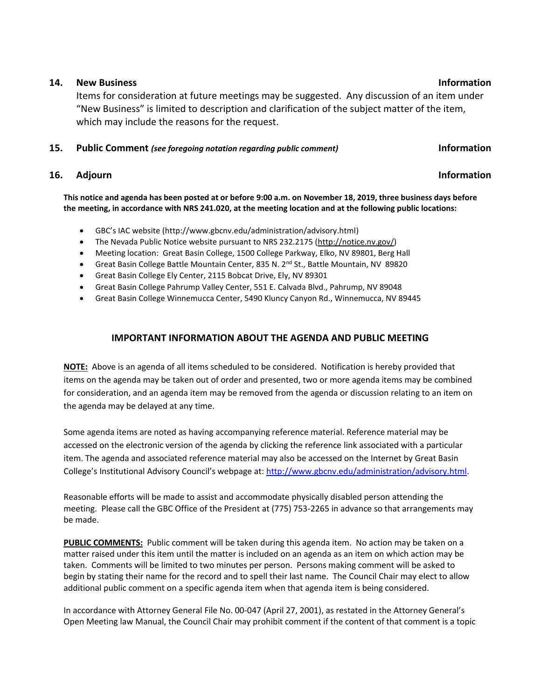#### **14. New Business Information**

Items for consideration at future meetings may be suggested. Any discussion of an item under "New Business" is limited to description and clarification of the subject matter of the item, which may include the reasons for the request.

#### **15. Public Comment** *(see foregoing notation regarding public comment)* **Information**

### **16.** Adjourn **Information**

**This notice and agenda has been posted at or before 9:00 a.m. on November 18, 2019, three business days before the meeting, in accordance with NRS 241.020, at the meeting location and at the following public locations:**

- GBC's IAC website (http://www.gbcnv.edu/administration/advisory.html)
- The Nevada Public Notice website pursuant to NRS 232.2175 [\(http://notice.nv.gov/\)](http://notice.nv.gov/)
- Meeting location: Great Basin College, 1500 College Parkway, Elko, NV 89801, Berg Hall
- Great Basin College Battle Mountain Center, 835 N. 2<sup>nd</sup> St., Battle Mountain, NV 89820
- Great Basin College Ely Center, 2115 Bobcat Drive, Ely, NV 89301
- Great Basin College Pahrump Valley Center, 551 E. Calvada Blvd., Pahrump, NV 89048
- Great Basin College Winnemucca Center, 5490 Kluncy Canyon Rd., Winnemucca, NV 89445

### **IMPORTANT INFORMATION ABOUT THE AGENDA AND PUBLIC MEETING**

**NOTE:** Above is an agenda of all items scheduled to be considered. Notification is hereby provided that items on the agenda may be taken out of order and presented, two or more agenda items may be combined for consideration, and an agenda item may be removed from the agenda or discussion relating to an item on the agenda may be delayed at any time.

Some agenda items are noted as having accompanying reference material. Reference material may be accessed on the electronic version of the agenda by clicking the reference link associated with a particular item. The agenda and associated reference material may also be accessed on the Internet by Great Basin College's Institutional Advisory Council's webpage at: [http://www.gbcnv.edu/administration/advisory.html.](http://www.gbcnv.edu/administration/advisory.html)

Reasonable efforts will be made to assist and accommodate physically disabled person attending the meeting. Please call the GBC Office of the President at (775) 753-2265 in advance so that arrangements may be made.

**PUBLIC COMMENTS:** Public comment will be taken during this agenda item. No action may be taken on a matter raised under this item until the matter is included on an agenda as an item on which action may be taken. Comments will be limited to two minutes per person. Persons making comment will be asked to begin by stating their name for the record and to spell their last name. The Council Chair may elect to allow additional public comment on a specific agenda item when that agenda item is being considered.

In accordance with Attorney General File No. 00-047 (April 27, 2001), as restated in the Attorney General's Open Meeting law Manual, the Council Chair may prohibit comment if the content of that comment is a topic